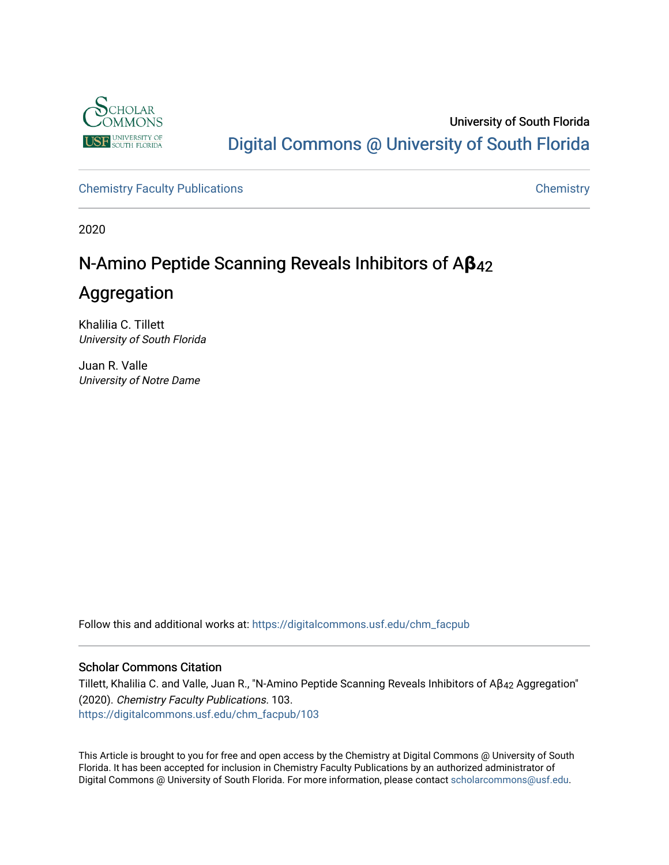

University of South Florida [Digital Commons @ University of South Florida](https://digitalcommons.usf.edu/) 

[Chemistry Faculty Publications](https://digitalcommons.usf.edu/chm_facpub) **Chemistry** Chemistry

2020

## N-Amino Peptide Scanning Reveals Inhibitors of A β<sub>42</sub>

## Aggregation

Khalilia C. Tillett University of South Florida

Juan R. Valle University of Notre Dame

Follow this and additional works at: [https://digitalcommons.usf.edu/chm\\_facpub](https://digitalcommons.usf.edu/chm_facpub?utm_source=digitalcommons.usf.edu%2Fchm_facpub%2F103&utm_medium=PDF&utm_campaign=PDFCoverPages)

#### Scholar Commons Citation

Tillett, Khalilia C. and Valle, Juan R., "N-Amino Peptide Scanning Reveals Inhibitors of Aβ42 Aggregation" (2020). Chemistry Faculty Publications. 103. [https://digitalcommons.usf.edu/chm\\_facpub/103](https://digitalcommons.usf.edu/chm_facpub/103?utm_source=digitalcommons.usf.edu%2Fchm_facpub%2F103&utm_medium=PDF&utm_campaign=PDFCoverPages)

This Article is brought to you for free and open access by the Chemistry at Digital Commons @ University of South Florida. It has been accepted for inclusion in Chemistry Faculty Publications by an authorized administrator of Digital Commons @ University of South Florida. For more information, please contact [scholarcommons@usf.edu.](mailto:scholarcommons@usf.edu)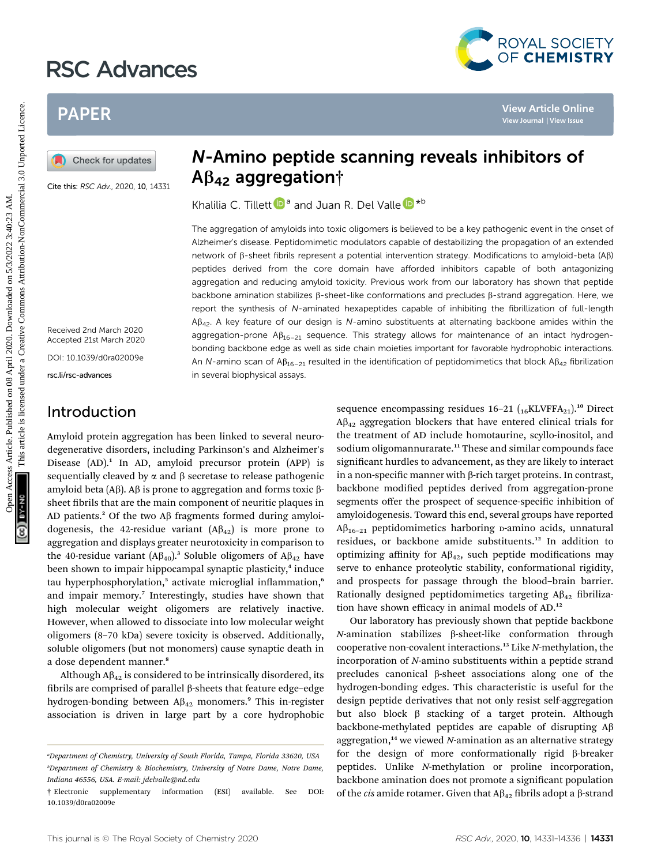# RSC Advances



## PAPER

Cite this: RSC Adv., 2020, 10, 14331

Received 2nd March 2020 Accepted 21st March 2020

DOI: 10.1039/d0ra02009e

rsc.li/rsc-advances

#### Introduction

## N-Amino peptide scanning reveals inhibitors of  $AB_{42}$  aggregation†

Khalilia C. Till[e](http://orcid.org/0000-0002-8315-5264)tt **D**<sup>a</sup> and Juan R. Del Valle **D**<sup>\*b</sup>

The aggregation of amyloids into toxic oligomers is believed to be a key pathogenic event in the onset of Alzheimer's disease. Peptidomimetic modulators capable of destabilizing the propagation of an extended network of b-sheet fibrils represent a potential intervention strategy. Modifications to amyloid-beta (Ab) peptides derived from the core domain have afforded inhibitors capable of both antagonizing aggregation and reducing amyloid toxicity. Previous work from our laboratory has shown that peptide backbone amination stabilizes  $\beta$ -sheet-like conformations and precludes  $\beta$ -strand aggregation. Here, we report the synthesis of N-aminated hexapeptides capable of inhibiting the fibrillization of full-length A $\beta_{42}$ . A key feature of our design is N-amino substituents at alternating backbone amides within the aggregation-prone  $AB_{16-21}$  sequence. This strategy allows for maintenance of an intact hydrogenbonding backbone edge as well as side chain moieties important for favorable hydrophobic interactions. An N-amino scan of  $AB_{16-21}$  resulted in the identification of peptidomimetics that block  $AB_{42}$  fibrilization in several biophysical assays. **PAPER**<br> **PAPER**<br> **PAPER**<br> **PAPER**<br> **PAPER MANUSTER SEARCHIST SUBDIVERSE AND A SUBDIVERSE SERVING DRIVERS OF<br>
The appropriation of the control of the control of the control of the control of the control of the control of** 

Amyloid protein aggregation has been linked to several neurodegenerative disorders, including Parkinson's and Alzheimer's Disease  $(AD)$ .<sup>1</sup> In AD, amyloid precursor protein  $(APP)$  is sequentially cleaved by  $\alpha$  and  $\beta$  secretase to release pathogenic amyloid beta (A $\beta$ ). A $\beta$  is prone to aggregation and forms toxic  $\beta$ sheet fibrils that are the main component of neuritic plaques in AD patients.<sup>2</sup> Of the two A $\beta$  fragments formed during amyloidogenesis, the 42-residue variant  $(A\beta_{42})$  is more prone to aggregation and displays greater neurotoxicity in comparison to the 40-residue variant  $(A\beta_{40})$ .<sup>3</sup> Soluble oligomers of  $A\beta_{42}$  have been shown to impair hippocampal synaptic plasticity,<sup>4</sup> induce tau hyperphosphorylation,<sup>5</sup> activate microglial inflammation,<sup>6</sup> and impair memory.<sup>7</sup> Interestingly, studies have shown that high molecular weight oligomers are relatively inactive. However, when allowed to dissociate into low molecular weight oligomers (8–70 kDa) severe toxicity is observed. Additionally, soluble oligomers (but not monomers) cause synaptic death in a dose dependent manner.<sup>8</sup>

Although  $A\beta_{42}$  is considered to be intrinsically disordered, its fibrils are comprised of parallel  $\beta$ -sheets that feature edge-edge hydrogen-bonding between  $A\beta_{42}$  monomers.<sup>9</sup> This in-register association is driven in large part by a core hydrophobic

sequence encompassing residues  $16-21$  ( $_{16}$ KLVFFA<sub>21</sub>).<sup>10</sup> Direct  $A\beta_{42}$  aggregation blockers that have entered clinical trials for the treatment of AD include homotaurine, scyllo-inositol, and sodium oligomannurarate.<sup>11</sup> These and similar compounds face significant hurdles to advancement, as they are likely to interact in a non-specific manner with  $\beta$ -rich target proteins. In contrast, backbone modified peptides derived from aggregation-prone segments offer the prospect of sequence-specific inhibition of amyloidogenesis. Toward this end, several groups have reported  $A\beta_{16-21}$  peptidomimetics harboring D-amino acids, unnatural residues, or backbone amide substituents.<sup>12</sup> In addition to optimizing affinity for  $A\beta_{42}$ , such peptide modifications may serve to enhance proteolytic stability, conformational rigidity, and prospects for passage through the blood–brain barrier. Rationally designed peptidomimetics targeting  $A\beta_{42}$  fibrilization have shown efficacy in animal models of AD.<sup>12</sup>

Our laboratory has previously shown that peptide backbone N-amination stabilizes b-sheet-like conformation through cooperative non-covalent interactions.<sup>13</sup> Like N-methylation, the incorporation of N-amino substituents within a peptide strand precludes canonical  $\beta$ -sheet associations along one of the hydrogen-bonding edges. This characteristic is useful for the design peptide derivatives that not only resist self-aggregation but also block  $\beta$  stacking of a target protein. Although backbone-methylated peptides are capable of disrupting  $A\beta$ aggregation, $14$  we viewed N-amination as an alternative strategy for the design of more conformationally rigid  $\beta$ -breaker peptides. Unlike N-methylation or proline incorporation, backbone amination does not promote a signicant population of the cis amide rotamer. Given that  $A\beta_{42}$  fibrils adopt a  $\beta$ -strand

a Department of Chemistry, University of South Florida, Tampa, Florida 33620, USA b Department of Chemistry & Biochemistry, University of Notre Dame, Notre Dame, Indiana 46556, USA. E-mail: jdelvalle@nd.edu

<sup>†</sup> Electronic supplementary information (ESI) available. See DOI: 10.1039/d0ra02009e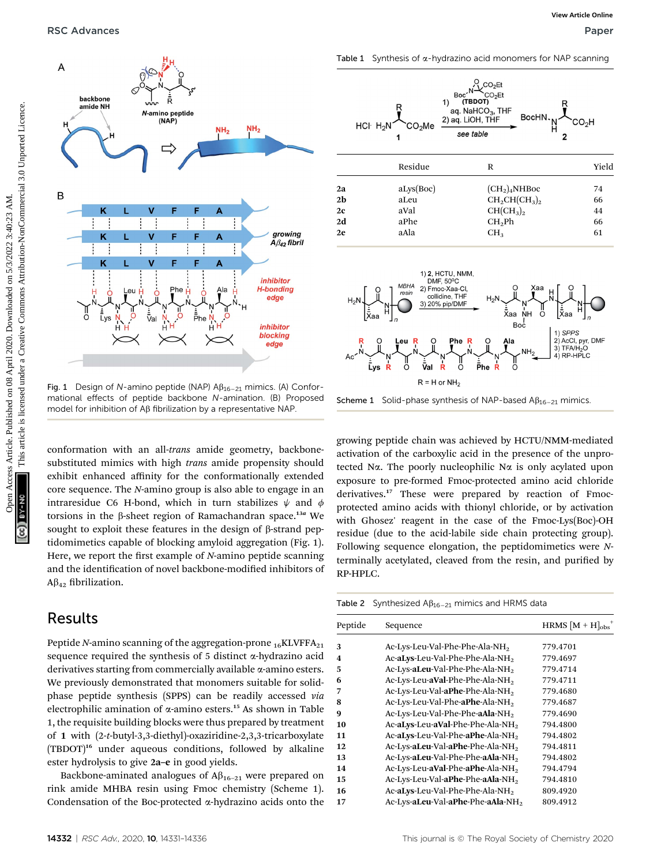

Fig. 1 Design of N-amino peptide (NAP)  $\mathsf{AB}_{16-21}$  mimics. (A) Conformational effects of peptide backbone N-amination. (B) Proposed model for inhibition of A<sub>B</sub> fibrilization by a representative NAP

conformation with an all-trans amide geometry, backbonesubstituted mimics with high *trans* amide propensity should exhibit enhanced affinity for the conformationally extended core sequence. The N-amino group is also able to engage in an intraresidue C6 H-bond, which in turn stabilizes  $\psi$  and  $\phi$ torsions in the  $\beta$ -sheet region of Ramachandran space.<sup>13a</sup> We sought to exploit these features in the design of  $\beta$ -strand peptidomimetics capable of blocking amyloid aggregation (Fig. 1). Here, we report the first example of  $N$ -amino peptide scanning and the identification of novel backbone-modified inhibitors of  $A\beta_{42}$  fibrilization.

#### Results

Peptide N-amino scanning of the aggregation-prone  $_{16}$ KLVFFA $_{21}$ sequence required the synthesis of 5 distinct  $\alpha$ -hydrazino acid derivatives starting from commercially available  $\alpha$ -amino esters. We previously demonstrated that monomers suitable for solidphase peptide synthesis (SPPS) can be readily accessed via electrophilic amination of  $\alpha$ -amino esters.<sup>15</sup> As shown in Table 1, the requisite building blocks were thus prepared by treatment of 1 with (2-t-butyl-3,3-diethyl)-oxaziridine-2,3,3-tricarboxylate (TBDOT)<sup>16</sup> under aqueous conditions, followed by alkaline ester hydrolysis to give 2a–e in good yields.

Backbone-aminated analogues of  $\mathbb{A}\beta_{16-21}$  were prepared on rink amide MHBA resin using Fmoc chemistry (Scheme 1). Condensation of the Boc-protected  $\alpha$ -hydrazino acids onto the

Table 1 Synthesis of  $\alpha$ -hydrazino acid monomers for NAP scanning





 $2e$  aAla  $CH_3$  61



growing peptide chain was achieved by HCTU/NMM-mediated activation of the carboxylic acid in the presence of the unprotected N $\alpha$ . The poorly nucleophilic N $\alpha$  is only acylated upon exposure to pre-formed Fmoc-protected amino acid chloride derivatives.<sup>17</sup> These were prepared by reaction of Fmocprotected amino acids with thionyl chloride, or by activation with Ghosez' reagent in the case of the Fmoc-Lys(Boc)-OH residue (due to the acid-labile side chain protecting group). Following sequence elongation, the peptidomimetics were Nterminally acetylated, cleaved from the resin, and purified by RP-HPLC.

|  | Table 2 Synthesized $\mathsf{AB}_{16-21}$ mimics and HRMS data |  |  |  |  |
|--|----------------------------------------------------------------|--|--|--|--|
|--|----------------------------------------------------------------|--|--|--|--|

| Peptide | Sequence                                      | HRMS $[M + H]_{obs}^+$ |
|---------|-----------------------------------------------|------------------------|
| 3       | Ac-Lys-Leu-Val-Phe-Phe-Ala-NH <sub>2</sub>    | 779.4701               |
| 4       | Ac-aLys-Leu-Val-Phe-Phe-Ala-NH <sub>2</sub>   | 779.4697               |
| 5       | Ac-Lys-aLeu-Val-Phe-Phe-Ala-NH <sub>2</sub>   | 779.4714               |
| 6       | Ac-Lys-Leu-aVal-Phe-Phe-Ala-NH <sub>2</sub>   | 779.4711               |
| 7       | Ac-Lys-Leu-Val-aPhe-Phe-Ala-NH <sub>2</sub>   | 779.4680               |
| 8       | Ac-Lys-Leu-Val-Phe-aPhe-Ala-NH2               | 779.4687               |
| 9       | Ac-Lys-Leu-Val-Phe-Phe-aAla-NH <sub>2</sub>   | 779.4690               |
| 10      | Ac-aLys-Leu-aVal-Phe-Phe-Ala-NH <sub>2</sub>  | 794.4800               |
| 11      | Ac-aLys-Leu-Val-Phe-aPhe-Ala-NH <sub>2</sub>  | 794.4802               |
| 12      | Ac-Lys-aLeu-Val-aPhe-Phe-Ala-NH <sub>2</sub>  | 794.4811               |
| 13      | Ac-Lys-aLeu-Val-Phe-Phe-aAla-NH <sub>2</sub>  | 794.4802               |
| 14      | Ac-Lys-Leu-aVal-Phe-aPhe-Ala-NH <sub>2</sub>  | 794.4794               |
| 15      | Ac-Lys-Leu-Val-aPhe-Phe-aAla-NH <sub>2</sub>  | 794.4810               |
| 16      | Ac-aLys-Leu-Val-Phe-Phe-Ala-NH <sub>2</sub>   | 809.4920               |
| 17      | Ac-Lys-aLeu-Val-aPhe-Phe-aAla-NH <sub>2</sub> | 809.4912               |
|         |                                               |                        |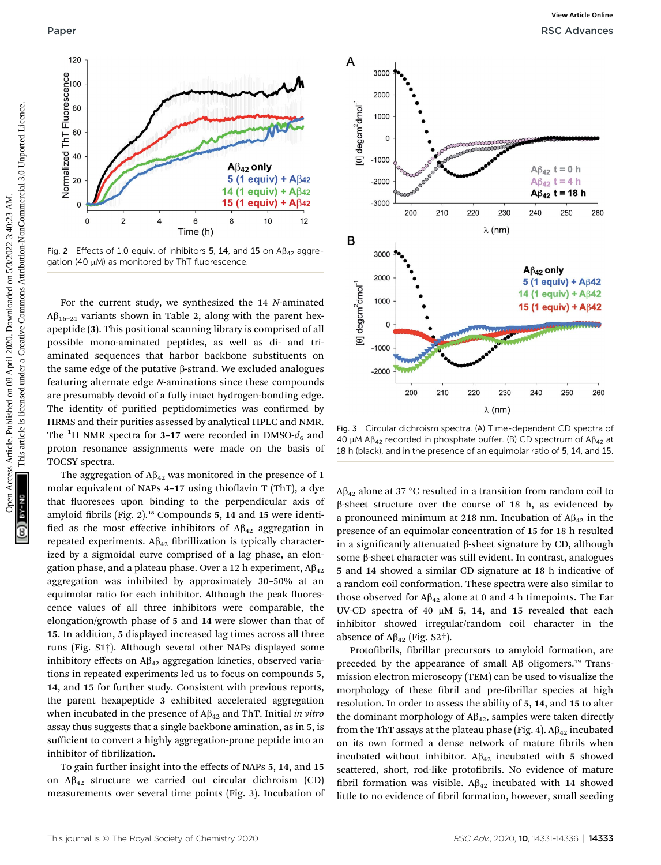

Fig. 2 Effects of 1.0 equiv. of inhibitors 5, 14, and 15 on  $AB_{42}$  aggregation (40  $\mu$ M) as monitored by ThT fluorescence.

For the current study, we synthesized the 14 N-aminated  $A\beta_{16-21}$  variants shown in Table 2, along with the parent hexapeptide (3). This positional scanning library is comprised of all possible mono-aminated peptides, as well as di- and triaminated sequences that harbor backbone substituents on the same edge of the putative  $\beta$ -strand. We excluded analogues featuring alternate edge N-aminations since these compounds are presumably devoid of a fully intact hydrogen-bonding edge. The identity of purified peptidomimetics was confirmed by HRMS and their purities assessed by analytical HPLC and NMR. The <sup>1</sup>H NMR spectra for 3–17 were recorded in DMSO- $d_6$  and proton resonance assignments were made on the basis of TOCSY spectra.

The aggregation of  $A\beta_{42}$  was monitored in the presence of 1 molar equivalent of NAPs  $4-17$  using thioflavin T (ThT), a dye that fluoresces upon binding to the perpendicular axis of amyloid fibrils (Fig. 2).<sup>18</sup> Compounds 5, 14 and 15 were identified as the most effective inhibitors of  $A\beta_{42}$  aggregation in repeated experiments.  $A\beta_{42}$  fibrillization is typically characterized by a sigmoidal curve comprised of a lag phase, an elongation phase, and a plateau phase. Over a 12 h experiment,  $A\beta_{42}$ aggregation was inhibited by approximately 30–50% at an equimolar ratio for each inhibitor. Although the peak fluorescence values of all three inhibitors were comparable, the elongation/growth phase of 5 and 14 were slower than that of 15. In addition, 5 displayed increased lag times across all three runs (Fig. S1†). Although several other NAPs displayed some inhibitory effects on  $A\beta_{42}$  aggregation kinetics, observed variations in repeated experiments led us to focus on compounds 5, 14, and 15 for further study. Consistent with previous reports, the parent hexapeptide 3 exhibited accelerated aggregation when incubated in the presence of  $A\beta_{42}$  and ThT. Initial in vitro assay thus suggests that a single backbone amination, as in 5, is sufficient to convert a highly aggregation-prone peptide into an inhibitor of fibrilization.

To gain further insight into the effects of NAPs 5, 14, and 15 on  $\mathsf{A}\beta_{42}$  structure we carried out circular dichroism (CD) measurements over several time points (Fig. 3). Incubation of



Fig. 3 Circular dichroism spectra. (A) Time-dependent CD spectra of 40 µM A $\beta_{42}$  recorded in phosphate buffer. (B) CD spectrum of A $\beta_{42}$  at 18 h (black), and in the presence of an equimolar ratio of 5, 14, and 15.

 $A\beta_{42}$  alone at 37 °C resulted in a transition from random coil to b-sheet structure over the course of 18 h, as evidenced by a pronounced minimum at 218 nm. Incubation of  $A\beta_{42}$  in the presence of an equimolar concentration of 15 for 18 h resulted in a significantly attenuated  $\beta$ -sheet signature by CD, although some  $\beta$ -sheet character was still evident. In contrast, analogues 5 and 14 showed a similar CD signature at 18 h indicative of a random coil conformation. These spectra were also similar to those observed for  $A\beta_{42}$  alone at 0 and 4 h timepoints. The Far UV-CD spectra of 40  $\mu$ M 5, 14, and 15 revealed that each inhibitor showed irregular/random coil character in the absence of  $A\beta_{42}$  (Fig. S2†).

Protofibrils, fibrillar precursors to amyloid formation, are preceded by the appearance of small  $\mathsf{A}\beta$  oligomers.<sup>19</sup> Transmission electron microscopy (TEM) can be used to visualize the morphology of these fibril and pre-fibrillar species at high resolution. In order to assess the ability of 5, 14, and 15 to alter the dominant morphology of  $A\beta_{42}$ , samples were taken directly from the ThT assays at the plateau phase (Fig. 4).  $A\beta_{42}$  incubated on its own formed a dense network of mature fibrils when incubated without inhibitor.  $A\beta_{42}$  incubated with 5 showed scattered, short, rod-like protofibrils. No evidence of mature fibril formation was visible.  $A\beta_{42}$  incubated with 14 showed little to no evidence of fibril formation, however, small seeding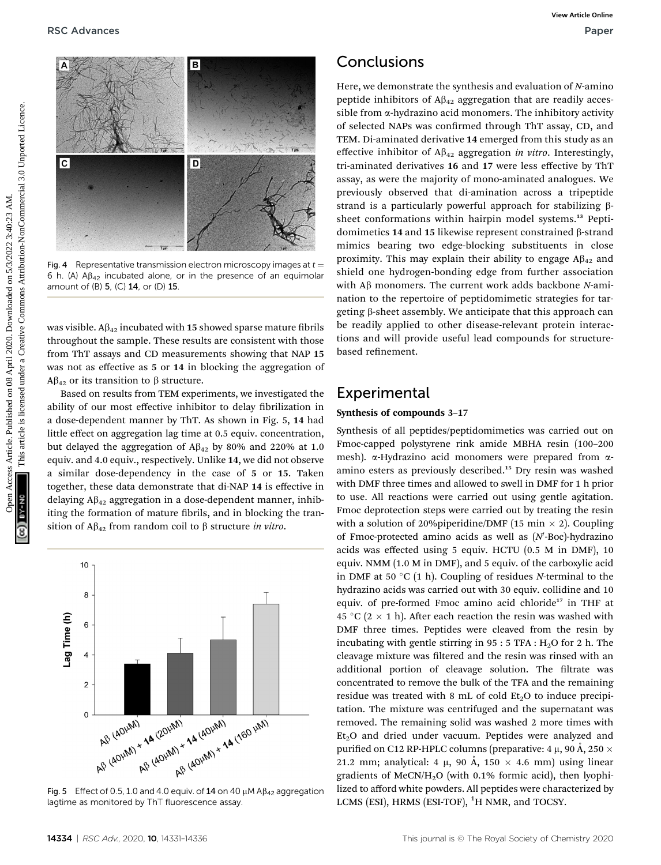

Fig. 4 Representative transmission electron microscopy images at  $t =$ 6 h. (A)  $\text{AB}_{42}$  incubated alone, or in the presence of an equimolar amount of (B) 5, (C) 14, or (D) 15.

was visible.  $A\beta_{42}$  incubated with 15 showed sparse mature fibrils throughout the sample. These results are consistent with those from ThT assays and CD measurements showing that NAP 15 was not as effective as 5 or 14 in blocking the aggregation of  $A\beta_{42}$  or its transition to  $\beta$  structure.

Based on results from TEM experiments, we investigated the ability of our most effective inhibitor to delay fibrilization in a dose-dependent manner by ThT. As shown in Fig. 5, 14 had little effect on aggregation lag time at 0.5 equiv. concentration, but delayed the aggregation of  $A\beta_{42}$  by 80% and 220% at 1.0 equiv. and 4.0 equiv., respectively. Unlike 14, we did not observe a similar dose-dependency in the case of 5 or 15. Taken together, these data demonstrate that di-NAP 14 is effective in delaying  $A\beta_{42}$  aggregation in a dose-dependent manner, inhibiting the formation of mature fibrils, and in blocking the transition of  $A\beta_{42}$  from random coil to  $\beta$  structure in vitro.



Fig. 5 Effect of 0.5, 1.0 and 4.0 equiv. of 14 on 40  $\mu$ M A $\beta$ <sub>42</sub> aggregation lagtime as monitored by ThT fluorescence assay.

### **Conclusions**

Here, we demonstrate the synthesis and evaluation of N-amino peptide inhibitors of  $A\beta_{42}$  aggregation that are readily accessible from  $\alpha$ -hydrazino acid monomers. The inhibitory activity of selected NAPs was confirmed through ThT assay, CD, and TEM. Di-aminated derivative 14 emerged from this study as an effective inhibitor of  $A\beta_{42}$  aggregation in vitro. Interestingly, tri-aminated derivatives 16 and 17 were less effective by ThT assay, as were the majority of mono-aminated analogues. We previously observed that di-amination across a tripeptide strand is a particularly powerful approach for stabilizing bsheet conformations within hairpin model systems.<sup>13</sup> Peptidomimetics 14 and 15 likewise represent constrained  $\beta$ -strand mimics bearing two edge-blocking substituents in close proximity. This may explain their ability to engage  $AB_{42}$  and shield one hydrogen-bonding edge from further association with  $A\beta$  monomers. The current work adds backbone N-amination to the repertoire of peptidomimetic strategies for targeting b-sheet assembly. We anticipate that this approach can be readily applied to other disease-relevant protein interactions and will provide useful lead compounds for structurebased refinement **EXACTER CONTRESS**<br>
CONCLUSIONS<br>
The vector distribution of AB<sub>c</sub> aggregation that are readily access and the second of the second common<br>
and is determined the same actual common access the following attention of A<sub>D</sub> ag

#### Experimental

#### Synthesis of compounds 3–17

Synthesis of all peptides/peptidomimetics was carried out on Fmoc-capped polystyrene rink amide MBHA resin (100–200 mesh). α-Hydrazino acid monomers were prepared from αamino esters as previously described.<sup>15</sup> Dry resin was washed with DMF three times and allowed to swell in DMF for 1 h prior to use. All reactions were carried out using gentle agitation. Fmoc deprotection steps were carried out by treating the resin with a solution of 20% piperidine/DMF (15 min  $\times$  2). Coupling of Fmoc-protected amino acids as well as  $(N$ -Boc)-hydrazino acids was effected using 5 equiv. HCTU (0.5 M in DMF), 10 equiv. NMM (1.0 M in DMF), and 5 equiv. of the carboxylic acid in DMF at 50  $\degree$ C (1 h). Coupling of residues N-terminal to the hydrazino acids was carried out with 30 equiv. collidine and 10 equiv. of pre-formed Fmoc amino acid chloride<sup>17</sup> in THF at 45 °C (2  $\times$  1 h). After each reaction the resin was washed with DMF three times. Peptides were cleaved from the resin by incubating with gentle stirring in  $95:5$  TFA:  $H<sub>2</sub>O$  for 2 h. The cleavage mixture was filtered and the resin was rinsed with an additional portion of cleavage solution. The filtrate was concentrated to remove the bulk of the TFA and the remaining residue was treated with 8 mL of cold  $Et<sub>2</sub>O$  to induce precipitation. The mixture was centrifuged and the supernatant was removed. The remaining solid was washed 2 more times with  $Et<sub>2</sub>O$  and dried under vacuum. Peptides were analyzed and purified on C12 RP-HPLC columns (preparative: 4  $\mu$ , 90 Å, 250  $\times$ 21.2 mm; analytical: 4  $\mu$ , 90 Å, 150  $\times$  4.6 mm) using linear gradients of MeCN/H2O (with 0.1% formic acid), then lyophilized to afford white powders. All peptides were characterized by LCMS (ESI), HRMS (ESI-TOF), <sup>1</sup>H NMR, and TOCSY.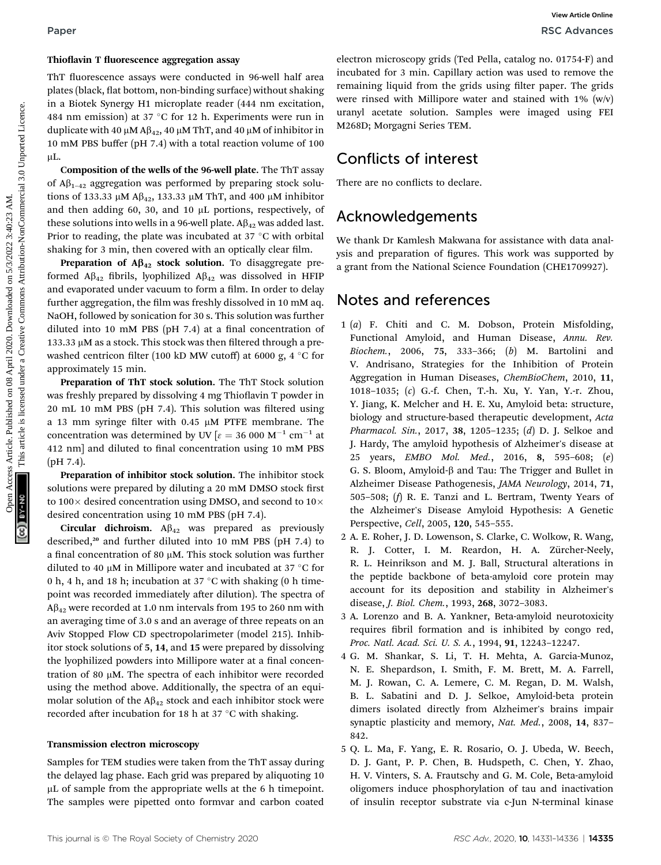#### Thioflavin T fluorescence aggregation assay

ThT fluorescence assays were conducted in 96-well half area plates (black, flat bottom, non-binding surface) without shaking in a Biotek Synergy H1 microplate reader (444 nm excitation, 484 nm emission) at 37 °C for 12 h. Experiments were run in duplicate with 40  $\mu$ M A $\beta$ <sub>42</sub>, 40  $\mu$ M ThT, and 40  $\mu$ M of inhibitor in 10 mM PBS buffer (pH 7.4) with a total reaction volume of 100  $\mu$ L.

Composition of the wells of the 96-well plate. The ThT assay of  $\mathsf{A}\beta_{1-42}$  aggregation was performed by preparing stock solutions of 133.33  $\mu$ M A $\beta$ <sub>42</sub>, 133.33  $\mu$ M ThT, and 400  $\mu$ M inhibitor and then adding 60, 30, and 10  $\mu$ L portions, respectively, of these solutions into wells in a 96-well plate.  $A\beta_{42}$  was added last. Prior to reading, the plate was incubated at 37  $\degree$ C with orbital shaking for 3 min, then covered with an optically clear film.

Preparation of  $A\beta_{42}$  stock solution. To disaggregate preformed  $A\beta_{42}$  fibrils, lyophilized  $A\beta_{42}$  was dissolved in HFIP and evaporated under vacuum to form a film. In order to delay further aggregation, the film was freshly dissolved in 10 mM aq. NaOH, followed by sonication for 30 s. This solution was further diluted into 10 mM PBS (pH  $7.4$ ) at a final concentration of  $133.33 \mu$ M as a stock. This stock was then filtered through a prewashed centricon filter (100 kD MW cutoff) at 6000 g, 4  $\degree$ C for approximately 15 min.

Preparation of ThT stock solution. The ThT Stock solution was freshly prepared by dissolving 4 mg Thioflavin T powder in  $20$  mL  $10$  mM PBS (pH  $7.4$ ). This solution was filtered using a 13 mm syringe filter with 0.45  $\mu$ M PTFE membrane. The concentration was determined by UV  $\epsilon = 36000 \text{ M}^{-1} \text{ cm}^{-1}$  at 412 nm] and diluted to final concentration using 10 mM PBS (pH 7.4).

Preparation of inhibitor stock solution. The inhibitor stock solutions were prepared by diluting a 20 mM DMSO stock first to 100 $\times$  desired concentration using DMSO, and second to 10 $\times$ desired concentration using 10 mM PBS (pH 7.4).

Circular dichroism.  $A\beta_{42}$  was prepared as previously described,<sup>20</sup> and further diluted into 10 mM PBS (pH 7.4) to a final concentration of 80  $\mu$ M. This stock solution was further diluted to 40  $\mu$ M in Millipore water and incubated at 37 °C for 0 h, 4 h, and 18 h; incubation at 37  $\degree$ C with shaking (0 h timepoint was recorded immediately after dilution). The spectra of  $A\beta_{42}$  were recorded at 1.0 nm intervals from 195 to 260 nm with an averaging time of 3.0 s and an average of three repeats on an Aviv Stopped Flow CD spectropolarimeter (model 215). Inhibitor stock solutions of 5, 14, and 15 were prepared by dissolving the lyophilized powders into Millipore water at a final concentration of 80  $\mu$ M. The spectra of each inhibitor were recorded using the method above. Additionally, the spectra of an equimolar solution of the  $A\beta_{42}$  stock and each inhibitor stock were recorded after incubation for 18 h at 37 °C with shaking.

#### Transmission electron microscopy

Samples for TEM studies were taken from the ThT assay during the delayed lag phase. Each grid was prepared by aliquoting 10  $\mu$ L of sample from the appropriate wells at the 6 h timepoint. The samples were pipetted onto formvar and carbon coated

electron microscopy grids (Ted Pella, catalog no. 01754-F) and incubated for 3 min. Capillary action was used to remove the remaining liquid from the grids using filter paper. The grids were rinsed with Millipore water and stained with  $1\%$  (w/v) uranyl acetate solution. Samples were imaged using FEI M268D; Morgagni Series TEM.

#### Conflicts of interest

There are no conflicts to declare.

#### Acknowledgements

We thank Dr Kamlesh Makwana for assistance with data analysis and preparation of figures. This work was supported by a grant from the National Science Foundation (CHE1709927).

#### Notes and references

- 1 (a) F. Chiti and C. M. Dobson, Protein Misfolding, Functional Amyloid, and Human Disease, Annu. Rev. Biochem., 2006, 75, 333–366; (b) M. Bartolini and V. Andrisano, Strategies for the Inhibition of Protein Aggregation in Human Diseases, ChemBioChem, 2010, 11, 1018–1035; (c) G.-f. Chen, T.-h. Xu, Y. Yan, Y.-r. Zhou, Y. Jiang, K. Melcher and H. E. Xu, Amyloid beta: structure, biology and structure-based therapeutic development, Acta Pharmacol. Sin., 2017, 38, 1205–1235; (d) D. J. Selkoe and J. Hardy, The amyloid hypothesis of Alzheimer's disease at 25 years, EMBO Mol. Med., 2016, 8, 595–608; (e) G. S. Bloom, Amyloid- $\beta$  and Tau: The Trigger and Bullet in Alzheimer Disease Pathogenesis, JAMA Neurology, 2014, 71, 505–508; (f) R. E. Tanzi and L. Bertram, Twenty Years of the Alzheimer's Disease Amyloid Hypothesis: A Genetic Perspective, Cell, 2005, 120, 545–555. Paper<br> **This lot on 22** Advances<br>
This articles. The Montenant Common the South Common Common to the South Common Common Common Common Common Common Common Common Common Common Common Common Common Common Common Common Co
	- 2 A. E. Roher, J. D. Lowenson, S. Clarke, C. Wolkow, R. Wang, R. J. Cotter, I. M. Reardon, H. A. Zürcher-Neely, R. L. Heinrikson and M. J. Ball, Structural alterations in the peptide backbone of beta-amyloid core protein may account for its deposition and stability in Alzheimer's disease, J. Biol. Chem., 1993, 268, 3072–3083.
	- 3 A. Lorenzo and B. A. Yankner, Beta-amyloid neurotoxicity requires fibril formation and is inhibited by congo red, Proc. Natl. Acad. Sci. U. S. A., 1994, 91, 12243–12247.
	- 4 G. M. Shankar, S. Li, T. H. Mehta, A. Garcia-Munoz, N. E. Shepardson, I. Smith, F. M. Brett, M. A. Farrell, M. J. Rowan, C. A. Lemere, C. M. Regan, D. M. Walsh, B. L. Sabatini and D. J. Selkoe, Amyloid-beta protein dimers isolated directly from Alzheimer's brains impair synaptic plasticity and memory, Nat. Med., 2008, 14, 837-842.
	- 5 Q. L. Ma, F. Yang, E. R. Rosario, O. J. Ubeda, W. Beech, D. J. Gant, P. P. Chen, B. Hudspeth, C. Chen, Y. Zhao, H. V. Vinters, S. A. Frautschy and G. M. Cole, Beta-amyloid oligomers induce phosphorylation of tau and inactivation of insulin receptor substrate via c-Jun N-terminal kinase